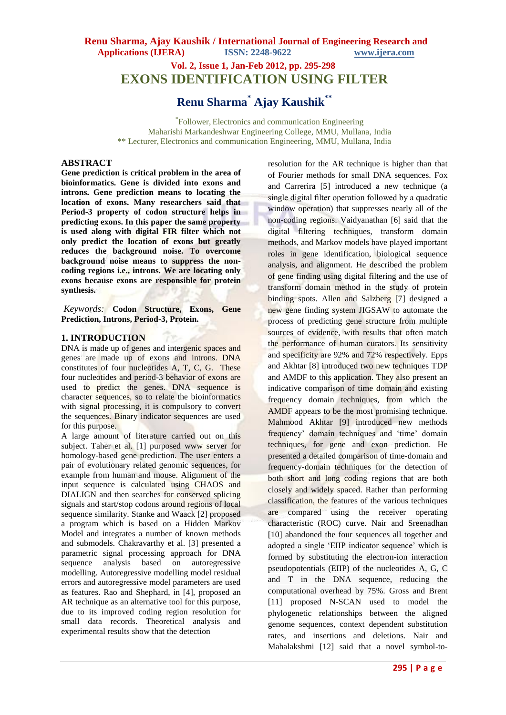# **Renu Sharma, Ajay Kaushik / International Journal of Engineering Research and Applications (IJERA) ISSN: 2248-9622 www.ijera.com Vol. 2, Issue 1, Jan-Feb 2012, pp. 295-298**

# **EXONS IDENTIFICATION USING FILTER**

**Renu Sharma\* Ajay Kaushik\*\***

\* Follower, Electronics and communication Engineering Maharishi Markandeshwar Engineering College, MMU, Mullana, India \*\* Lecturer, Electronics and communication Engineering, MMU, Mullana, India

### **ABSTRACT**

**Gene prediction is critical problem in the area of bioinformatics. Gene is divided into exons and introns. Gene prediction means to locating the location of exons. Many researchers said that Period-3 property of codon structure helps in predicting exons. In this paper the same property is used along with digital FIR filter which not only predict the location of exons but greatly reduces the background noise. To overcome background noise means to suppress the noncoding regions i.e., introns. We are locating only exons because exons are responsible for protein synthesis.**

*Keywords:* **Codon Structure, Exons, Gene Prediction, Introns, Period-3, Protein.** 

### **1. INTRODUCTION**

DNA is made up of genes and intergenic spaces and genes are made up of exons and introns. DNA constitutes of four nucleotides A, T, C, G. These four nucleotides and period-3 behavior of exons are used to predict the genes. DNA sequence is character sequences, so to relate the bioinformatics with signal processing, it is compulsory to convert the sequences. Binary indicator sequences are used for this purpose.

A large amount of literature carried out on this subject. Taher et al. [1] purposed www server for homology-based gene prediction. The user enters a pair of evolutionary related genomic sequences, for example from human and mouse. Alignment of the input sequence is calculated using CHAOS and DIALIGN and then searches for conserved splicing signals and start/stop codons around regions of local sequence similarity. Stanke and Waack [2] proposed a program which is based on a Hidden Markov Model and integrates a number of known methods and submodels. Chakravarthy et al. [3] presented a parametric signal processing approach for DNA sequence analysis based on autoregressive modelling. Autoregressive modelling model residual errors and autoregressive model parameters are used as features. Rao and Shephard, in [4], proposed an AR technique as an alternative tool for this purpose, due to its improved coding region resolution for small data records. Theoretical analysis and experimental results show that the detection

resolution for the AR technique is higher than that of Fourier methods for small DNA sequences. Fox and Carrerira [5] introduced a new technique (a single digital filter operation followed by a quadratic window operation) that suppresses nearly all of the non-coding regions. Vaidyanathan [6] said that the digital filtering techniques, transform domain methods, and Markov models have played important roles in gene identification, biological sequence analysis, and alignment. He described the problem of gene finding using digital filtering and the use of transform domain method in the study of protein binding spots. Allen and Salzberg [7] designed a new gene finding system JIGSAW to automate the process of predicting gene structure from multiple sources of evidence, with results that often match the performance of human curators. Its sensitivity and specificity are 92% and 72% respectively. Epps and Akhtar [8] introduced two new techniques TDP and AMDF to this application. They also present an indicative comparison of time domain and existing frequency domain techniques, from which the AMDF appears to be the most promising technique. Mahmood Akhtar [9] introduced new methods frequency' domain techniques and 'time' domain techniques, for gene and exon prediction. He presented a detailed comparison of time-domain and frequency-domain techniques for the detection of both short and long coding regions that are both closely and widely spaced. Rather than performing classification, the features of the various techniques are compared using the receiver operating characteristic (ROC) curve. Nair and Sreenadhan [10] abandoned the four sequences all together and adopted a single "EIIP indicator sequence" which is formed by substituting the electron-ion interaction pseudopotentials (EIIP) of the nucleotides A, G, C and T in the DNA sequence, reducing the computational overhead by 75%. Gross and Brent [11] proposed N-SCAN used to model the phylogenetic relationships between the aligned genome sequences, context dependent substitution rates, and insertions and deletions. Nair and Mahalakshmi [12] said that a novel symbol-to-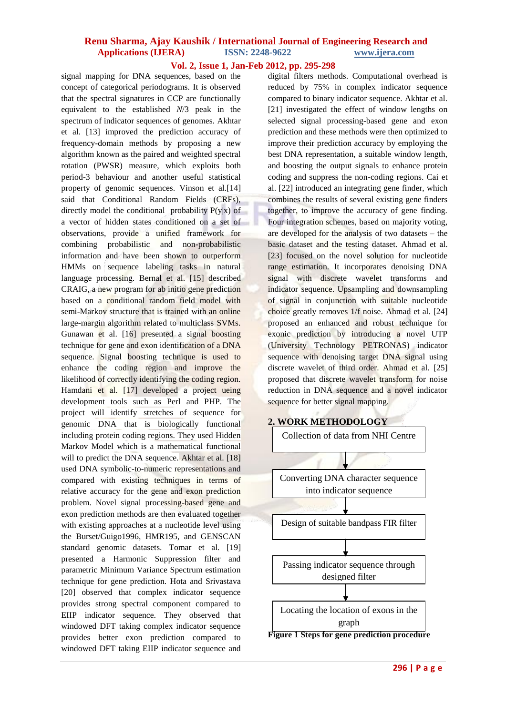## **Renu Sharma, Ajay Kaushik / International Journal of Engineering Research and Applications (IJERA) ISSN: 2248-9622 www.ijera.com**

## **Vol. 2, Issue 1, Jan-Feb 2012, pp. 295-298**

signal mapping for DNA sequences, based on the concept of categorical periodograms. It is observed that the spectral signatures in CCP are functionally equivalent to the established *N*/3 peak in the spectrum of indicator sequences of genomes. Akhtar et al. [13] improved the prediction accuracy of frequency-domain methods by proposing a new algorithm known as the paired and weighted spectral rotation (PWSR) measure, which exploits both period-3 behaviour and another useful statistical property of genomic sequences. Vinson et al.[14] said that Conditional Random Fields (CRFs), directly model the conditional probability  $P(y|x)$  of a vector of hidden states conditioned on a set of observations, provide a unified framework for combining probabilistic and non-probabilistic information and have been shown to outperform HMMs on sequence labeling tasks in natural language processing. Bernal et al. [15] described CRAIG, a new program for ab initio gene prediction based on a conditional random field model with semi-Markov structure that is trained with an online large-margin algorithm related to multiclass SVMs. Gunawan et al. [16] presented a signal boosting technique for gene and exon identification of a DNA sequence. Signal boosting technique is used to enhance the coding region and improve the likelihood of correctly identifying the coding region. Hamdani et al. [17] developed a project ueing development tools such as Perl and PHP. The project will identify stretches of sequence for genomic DNA that is biologically functional including protein coding regions. They used Hidden Markov Model which is a mathematical functional will to predict the DNA sequence. Akhtar et al. [18] used DNA symbolic-to-numeric representations and compared with existing techniques in terms of relative accuracy for the gene and exon prediction problem. Novel signal processing-based gene and exon prediction methods are then evaluated together with existing approaches at a nucleotide level using the Burset/Guigo1996, HMR195, and GENSCAN standard genomic datasets. Tomar et al. [19] presented a Harmonic Suppression filter and parametric Minimum Variance Spectrum estimation technique for gene prediction. Hota and Srivastava [20] observed that complex indicator sequence provides strong spectral component compared to EIIP indicator sequence. They observed that windowed DFT taking complex indicator sequence provides better exon prediction compared to windowed DFT taking EIIP indicator sequence and

digital filters methods. Computational overhead is reduced by 75% in complex indicator sequence compared to binary indicator sequence. Akhtar et al. [21] investigated the effect of window lengths on selected signal processing-based gene and exon prediction and these methods were then optimized to improve their prediction accuracy by employing the best DNA representation, a suitable window length, and boosting the output signals to enhance protein coding and suppress the non-coding regions. Cai et al. [22] introduced an integrating gene finder, which combines the results of several existing gene finders together, to improve the accuracy of gene finding. Four integration schemes, based on majority voting, are developed for the analysis of two datasets – the basic dataset and the testing dataset. Ahmad et al. [23] focused on the novel solution for nucleotide range estimation. It incorporates denoising DNA signal with discrete wavelet transforms and indicator sequence. Upsampling and downsampling of signal in conjunction with suitable nucleotide choice greatly removes 1/f noise. Ahmad et al. [24] proposed an enhanced and robust technique for exonic prediction by introducing a novel UTP (University Technology PETRONAS) indicator sequence with denoising target DNA signal using discrete wavelet of third order. Ahmad et al. [25] proposed that discrete wavelet transform for noise reduction in DNA sequence and a novel indicator sequence for better signal mapping.

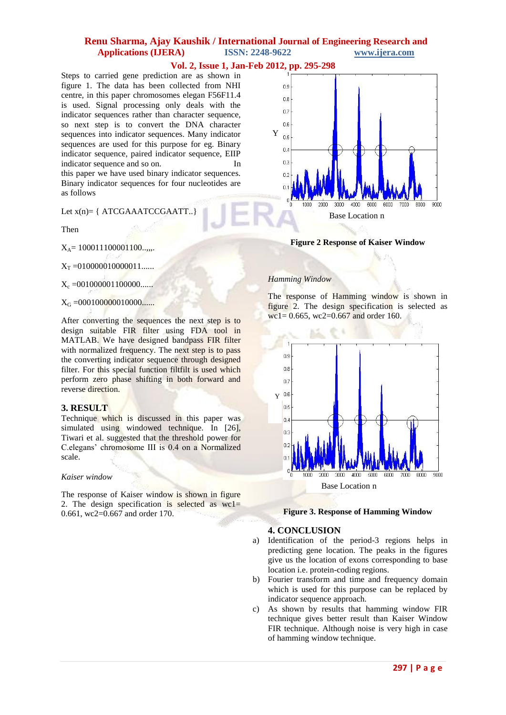## **Renu Sharma, Ajay Kaushik / International Journal of Engineering Research and Applications (IJERA) ISSN: 2248-9622 www.ijera.com**

### **Vol. 2, Issue 1, Jan-Feb 2012, pp. 295-298**

Steps to carried gene prediction are as shown in figure 1. The data has been collected from NHI centre, in this paper chromosomes elegan F56F11.4 is used. Signal processing only deals with the indicator sequences rather than character sequence, so next step is to convert the DNA character sequences into indicator sequences. Many indicator sequences are used for this purpose for eg. Binary indicator sequence, paired indicator sequence, EIIP indicator sequence and so on. In this paper we have used binary indicator sequences.

Binary indicator sequences for four nucleotides are as follows

Let  $x(n) = \{ ATCGAAATCCGAATT..\}$ 

Then

 $X_A = 100011100001100...$ 

 $X_T = 0100000100000011...$ 

 $X_c = 001000001100000...$ 

 $X_G = 0001000000010000$ ......

After converting the sequences the next step is to design suitable FIR filter using FDA tool in MATLAB. We have designed bandpass FIR filter with normalized frequency. The next step is to pass the converting indicator sequence through designed filter. For this special function filtfilt is used which perform zero phase shifting in both forward and reverse direction.

#### **3. RESULT**

Technique which is discussed in this paper was simulated using windowed technique. In [26], Tiwari et al. suggested that the threshold power for C.elegans" chromosome III is 0.4 on a Normalized scale.

#### *Kaiser window*

The response of Kaiser window is shown in figure 2. The design specification is selected as  $wcl =$ 0.661, wc2=0.667 and order 170.



**Figure 2 Response of Kaiser Window**

#### *Hamming Window*

The response of Hamming window is shown in figure 2. The design specification is selected as  $\text{wc}1 = 0.665, \text{wc}2 = 0.667 \text{ and order } 160.$ 



#### **Figure 3. Response of Hamming Window**

#### **4. CONCLUSION**

- a) Identification of the period-3 regions helps in predicting gene location. The peaks in the figures give us the location of exons corresponding to base location i.e. protein-coding regions.
- b) Fourier transform and time and frequency domain which is used for this purpose can be replaced by indicator sequence approach.
- c) As shown by results that hamming window FIR technique gives better result than Kaiser Window FIR technique. Although noise is very high in case of hamming window technique.